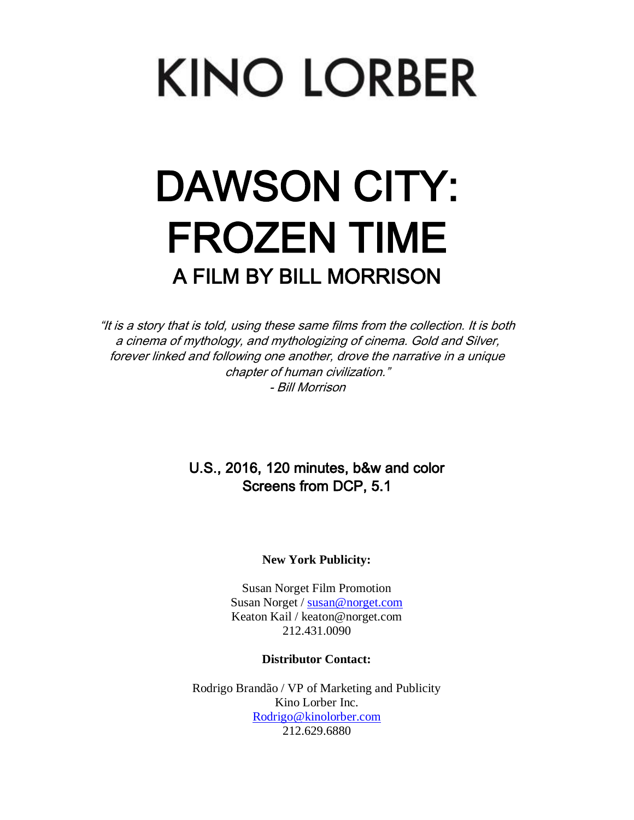# **KINO LORBER**

## DAWSON CITY: FROZEN TIME A FILM BY BILL MORRISON

"It is a story that is told, using these same films from the collection. It is both a cinema of mythology, and mythologizing of cinema. Gold and Silver, forever linked and following one another, drove the narrative in a unique chapter of human civilization." - Bill Morrison

## U.S., 2016, 120 minutes, b&w and color Screens from DCP, 5.1

#### **New York Publicity:**

Susan Norget Film Promotion Susan Norget / [susan@norget.com](mailto:susan@norget.com) Keaton Kail / keaton@norget.com 212.431.0090

#### **Distributor Contact:**

Rodrigo Brandão / VP of Marketing and Publicity Kino Lorber Inc. [Rodrigo@kinolorber.com](mailto:Rodrigo@kinolorber.com) 212.629.6880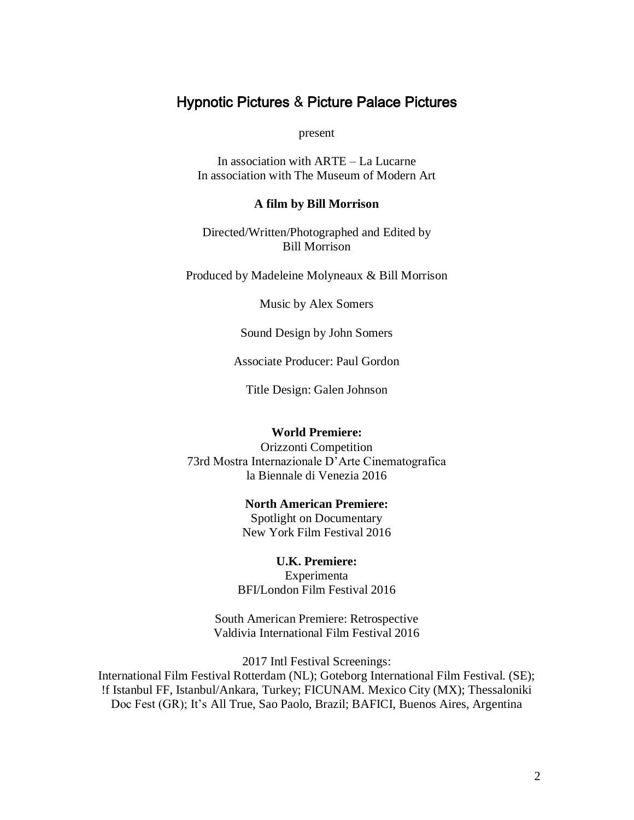## Hypnotic Pictures & Picture Palace Pictures

present

In association with ARTE – La Lucarne In association with The Museum of Modern Art

#### **A film by Bill Morrison**

Directed/Written/Photographed and Edited by Bill Morrison

Produced by Madeleine Molyneaux & Bill Morrison

Music by Alex Somers

Sound Design by John Somers

Associate Producer: Paul Gordon

Title Design: Galen Johnson

#### **World Premiere:**

Orizzonti Competition 73rd Mostra Internazionale D'Arte Cinematografica la Biennale di Venezia 2016

#### **North American Premiere:** Spotlight on Documentary

New York Film Festival 2016

**U.K. Premiere:** Experimenta BFI/London Film Festival 2016

South American Premiere: Retrospective Valdivia International Film Festival 2016

2017 Intl Festival Screenings: International Film Festival Rotterdam (NL); Goteborg International Film Festival. (SE); !f Istanbul FF, Istanbul/Ankara, Turkey; FICUNAM. Mexico City (MX); Thessaloniki Doc Fest (GR); It's All True, Sao Paolo, Brazil; BAFICI, Buenos Aires, Argentina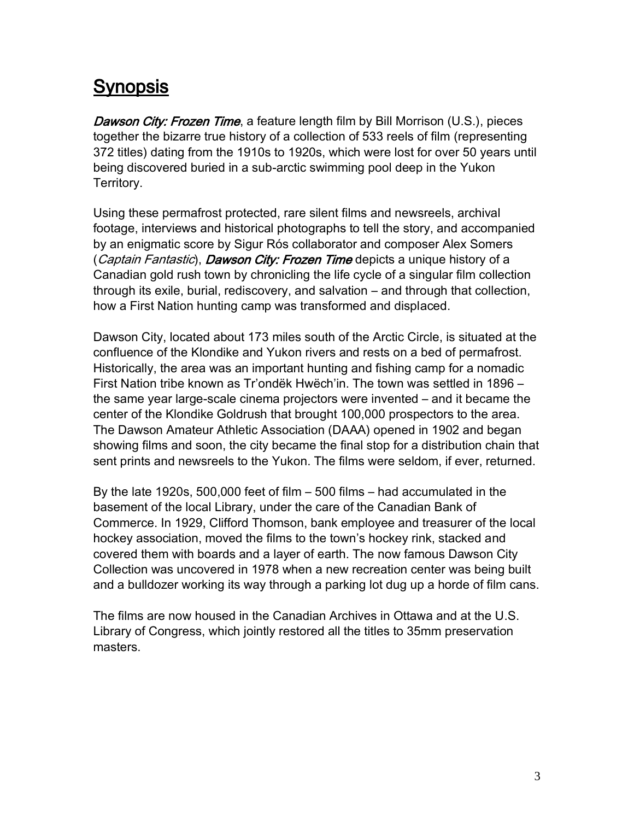## **Synopsis**

Dawson City: Frozen Time, a feature length film by Bill Morrison (U.S.), pieces together the bizarre true history of a collection of 533 reels of film (representing 372 titles) dating from the 1910s to 1920s, which were lost for over 50 years until being discovered buried in a sub-arctic swimming pool deep in the Yukon Territory.

Using these permafrost protected, rare silent films and newsreels, archival footage, interviews and historical photographs to tell the story, and accompanied by an enigmatic score by Sigur Rós collaborator and composer Alex Somers (Captain Fantastic), Dawson City: Frozen Time depicts a unique history of a Canadian gold rush town by chronicling the life cycle of a singular film collection through its exile, burial, rediscovery, and salvation – and through that collection, how a First Nation hunting camp was transformed and displaced.

Dawson City, located about 173 miles south of the Arctic Circle, is situated at the confluence of the Klondike and Yukon rivers and rests on a bed of permafrost. Historically, the area was an important hunting and fishing camp for a nomadic First Nation tribe known as Tr'ondëk Hwëch'in. The town was settled in 1896 – the same year large-scale cinema projectors were invented – and it became the center of the Klondike Goldrush that brought 100,000 prospectors to the area. The Dawson Amateur Athletic Association (DAAA) opened in 1902 and began showing films and soon, the city became the final stop for a distribution chain that sent prints and newsreels to the Yukon. The films were seldom, if ever, returned.

By the late 1920s, 500,000 feet of film – 500 films – had accumulated in the basement of the local Library, under the care of the Canadian Bank of Commerce. In 1929, Clifford Thomson, bank employee and treasurer of the local hockey association, moved the films to the town's hockey rink, stacked and covered them with boards and a layer of earth. The now famous Dawson City Collection was uncovered in 1978 when a new recreation center was being built and a bulldozer working its way through a parking lot dug up a horde of film cans.

The films are now housed in the Canadian Archives in Ottawa and at the U.S. Library of Congress, which jointly restored all the titles to 35mm preservation masters.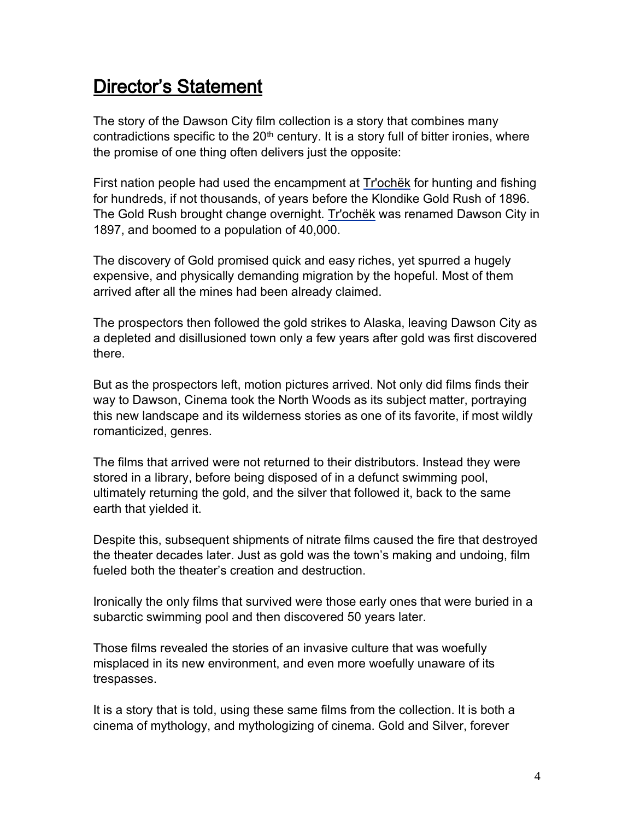## Director's Statement

The story of the Dawson City film collection is a story that combines many contradictions specific to the  $20<sup>th</sup>$  century. It is a story full of bitter ironies, where the promise of one thing often delivers just the opposite:

First nation people had used the encampment at [Tr'ochëk](http://en.wikipedia.org/wiki/Tr%27och%C3%ABk) for hunting and fishing for hundreds, if not thousands, of years before the Klondike Gold Rush of 1896. The Gold Rush brought change overnight. [Tr'ochëk](http://en.wikipedia.org/wiki/Tr%27och%C3%ABk) was renamed Dawson City in 1897, and boomed to a population of 40,000.

The discovery of Gold promised quick and easy riches, yet spurred a hugely expensive, and physically demanding migration by the hopeful. Most of them arrived after all the mines had been already claimed.

The prospectors then followed the gold strikes to Alaska, leaving Dawson City as a depleted and disillusioned town only a few years after gold was first discovered there.

But as the prospectors left, motion pictures arrived. Not only did films finds their way to Dawson, Cinema took the North Woods as its subject matter, portraying this new landscape and its wilderness stories as one of its favorite, if most wildly romanticized, genres.

The films that arrived were not returned to their distributors. Instead they were stored in a library, before being disposed of in a defunct swimming pool, ultimately returning the gold, and the silver that followed it, back to the same earth that yielded it.

Despite this, subsequent shipments of nitrate films caused the fire that destroyed the theater decades later. Just as gold was the town's making and undoing, film fueled both the theater's creation and destruction.

Ironically the only films that survived were those early ones that were buried in a subarctic swimming pool and then discovered 50 years later.

Those films revealed the stories of an invasive culture that was woefully misplaced in its new environment, and even more woefully unaware of its trespasses.

It is a story that is told, using these same films from the collection. It is both a cinema of mythology, and mythologizing of cinema. Gold and Silver, forever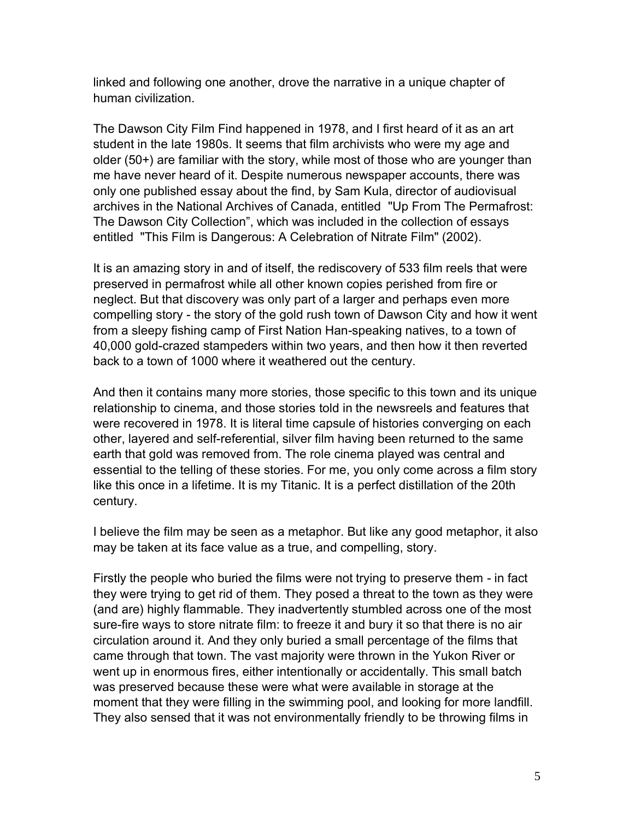linked and following one another, drove the narrative in a unique chapter of human civilization.

The Dawson City Film Find happened in 1978, and I first heard of it as an art student in the late 1980s. It seems that film archivists who were my age and older (50+) are familiar with the story, while most of those who are younger than me have never heard of it. Despite numerous newspaper accounts, there was only one published essay about the find, by Sam Kula, director of audiovisual archives in the National Archives of Canada, entitled "Up From The Permafrost: The Dawson City Collection", which was included in the collection of essays entitled "This Film is Dangerous: A Celebration of Nitrate Film" (2002).

It is an amazing story in and of itself, the rediscovery of 533 film reels that were preserved in permafrost while all other known copies perished from fire or neglect. But that discovery was only part of a larger and perhaps even more compelling story - the story of the gold rush town of Dawson City and how it went from a sleepy fishing camp of First Nation Han-speaking natives, to a town of 40,000 gold-crazed stampeders within two years, and then how it then reverted back to a town of 1000 where it weathered out the century.

And then it contains many more stories, those specific to this town and its unique relationship to cinema, and those stories told in the newsreels and features that were recovered in 1978. It is literal time capsule of histories converging on each other, layered and self-referential, silver film having been returned to the same earth that gold was removed from. The role cinema played was central and essential to the telling of these stories. For me, you only come across a film story like this once in a lifetime. It is my Titanic. It is a perfect distillation of the 20th century.

I believe the film may be seen as a metaphor. But like any good metaphor, it also may be taken at its face value as a true, and compelling, story.

Firstly the people who buried the films were not trying to preserve them - in fact they were trying to get rid of them. They posed a threat to the town as they were (and are) highly flammable. They inadvertently stumbled across one of the most sure-fire ways to store nitrate film: to freeze it and bury it so that there is no air circulation around it. And they only buried a small percentage of the films that came through that town. The vast majority were thrown in the Yukon River or went up in enormous fires, either intentionally or accidentally. This small batch was preserved because these were what were available in storage at the moment that they were filling in the swimming pool, and looking for more landfill. They also sensed that it was not environmentally friendly to be throwing films in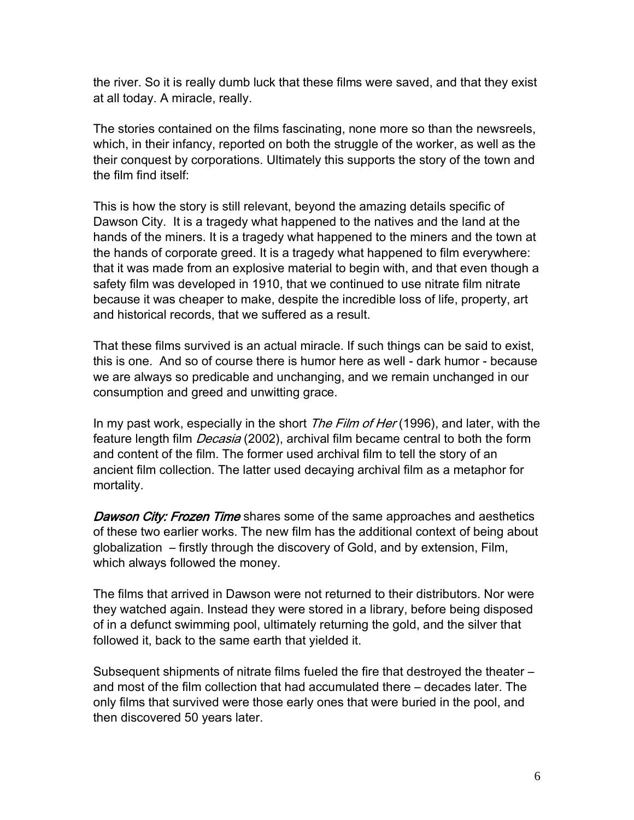the river. So it is really dumb luck that these films were saved, and that they exist at all today. A miracle, really.

The stories contained on the films fascinating, none more so than the newsreels, which, in their infancy, reported on both the struggle of the worker, as well as the their conquest by corporations. Ultimately this supports the story of the town and the film find itself:

This is how the story is still relevant, beyond the amazing details specific of Dawson City. It is a tragedy what happened to the natives and the land at the hands of the miners. It is a tragedy what happened to the miners and the town at the hands of corporate greed. It is a tragedy what happened to film everywhere: that it was made from an explosive material to begin with, and that even though a safety film was developed in 1910, that we continued to use nitrate film nitrate because it was cheaper to make, despite the incredible loss of life, property, art and historical records, that we suffered as a result.

That these films survived is an actual miracle. If such things can be said to exist, this is one. And so of course there is humor here as well - dark humor - because we are always so predicable and unchanging, and we remain unchanged in our consumption and greed and unwitting grace.

In my past work, especially in the short *The Film of Her* (1996), and later, with the feature length film *Decasia* (2002), archival film became central to both the form and content of the film. The former used archival film to tell the story of an ancient film collection. The latter used decaying archival film as a metaphor for mortality.

**Dawson City: Frozen Time** shares some of the same approaches and aesthetics of these two earlier works. The new film has the additional context of being about globalization – firstly through the discovery of Gold, and by extension, Film, which always followed the money.

The films that arrived in Dawson were not returned to their distributors. Nor were they watched again. Instead they were stored in a library, before being disposed of in a defunct swimming pool, ultimately returning the gold, and the silver that followed it, back to the same earth that yielded it.

Subsequent shipments of nitrate films fueled the fire that destroyed the theater – and most of the film collection that had accumulated there – decades later. The only films that survived were those early ones that were buried in the pool, and then discovered 50 years later.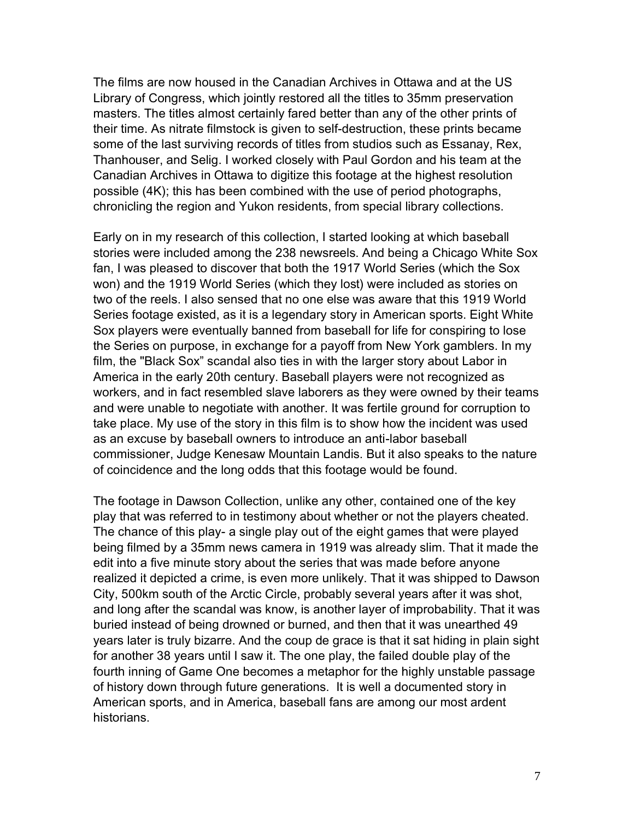The films are now housed in the Canadian Archives in Ottawa and at the US Library of Congress, which jointly restored all the titles to 35mm preservation masters. The titles almost certainly fared better than any of the other prints of their time. As nitrate filmstock is given to self-destruction, these prints became some of the last surviving records of titles from studios such as Essanay, Rex, Thanhouser, and Selig. I worked closely with Paul Gordon and his team at the Canadian Archives in Ottawa to digitize this footage at the highest resolution possible (4K); this has been combined with the use of period photographs, chronicling the region and Yukon residents, from special library collections.

Early on in my research of this collection, I started looking at which baseball stories were included among the 238 newsreels. And being a Chicago White Sox fan, I was pleased to discover that both the 1917 World Series (which the Sox won) and the 1919 World Series (which they lost) were included as stories on two of the reels. I also sensed that no one else was aware that this 1919 World Series footage existed, as it is a legendary story in American sports. Eight White Sox players were eventually banned from baseball for life for conspiring to lose the Series on purpose, in exchange for a payoff from New York gamblers. In my film, the "Black Sox" scandal also ties in with the larger story about Labor in America in the early 20th century. Baseball players were not recognized as workers, and in fact resembled slave laborers as they were owned by their teams and were unable to negotiate with another. It was fertile ground for corruption to take place. My use of the story in this film is to show how the incident was used as an excuse by baseball owners to introduce an anti-labor baseball commissioner, Judge Kenesaw Mountain Landis. But it also speaks to the nature of coincidence and the long odds that this footage would be found.

The footage in Dawson Collection, unlike any other, contained one of the key play that was referred to in testimony about whether or not the players cheated. The chance of this play- a single play out of the eight games that were played being filmed by a 35mm news camera in 1919 was already slim. That it made the edit into a five minute story about the series that was made before anyone realized it depicted a crime, is even more unlikely. That it was shipped to Dawson City, 500km south of the Arctic Circle, probably several years after it was shot, and long after the scandal was know, is another layer of improbability. That it was buried instead of being drowned or burned, and then that it was unearthed 49 years later is truly bizarre. And the coup de grace is that it sat hiding in plain sight for another 38 years until I saw it. The one play, the failed double play of the fourth inning of Game One becomes a metaphor for the highly unstable passage of history down through future generations. It is well a documented story in American sports, and in America, baseball fans are among our most ardent historians.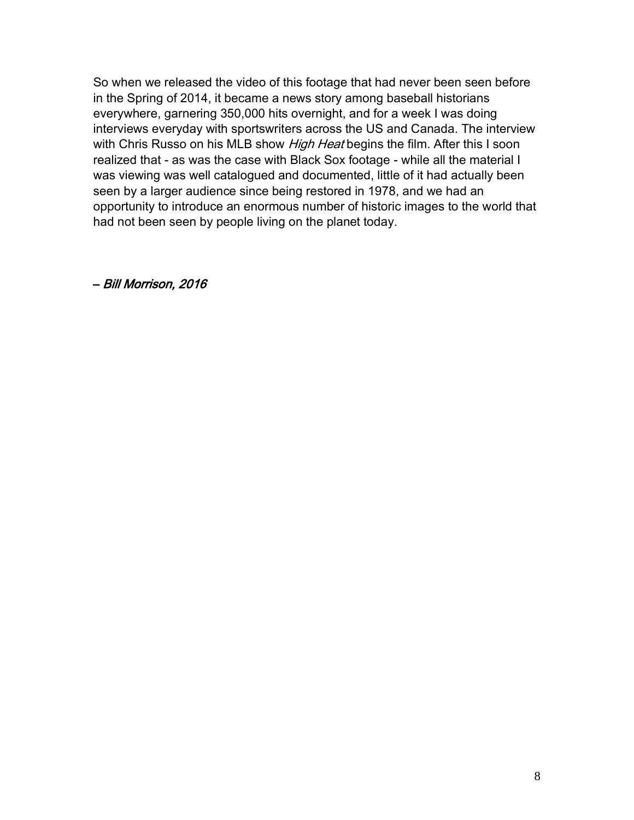So when we released the video of this footage that had never been seen before in the Spring of 2014, it became a news story among baseball historians everywhere, garnering 350,000 hits overnight, and for a week I was doing interviews everyday with sportswriters across the US and Canada. The interview with Chris Russo on his MLB show *High Heat* begins the film. After this I soon realized that - as was the case with Black Sox footage - while all the material I was viewing was well catalogued and documented, little of it had actually been seen by a larger audience since being restored in 1978, and we had an opportunity to introduce an enormous number of historic images to the world that had not been seen by people living on the planet today.

– Bill Morrison, 2016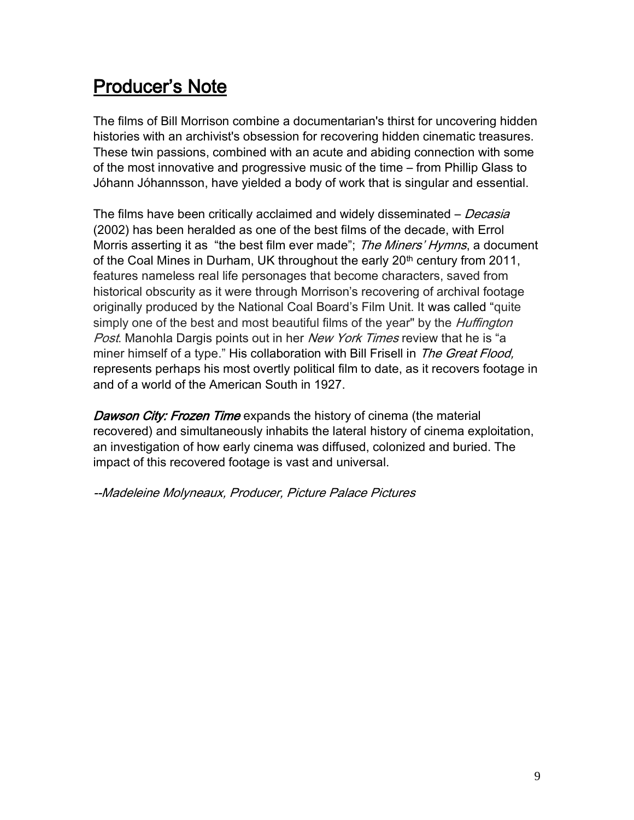## Producer's Note

The films of Bill Morrison combine a documentarian's thirst for uncovering hidden histories with an archivist's obsession for recovering hidden cinematic treasures. These twin passions, combined with an acute and abiding connection with some of the most innovative and progressive music of the time – from Phillip Glass to Jóhann Jóhannsson, have yielded a body of work that is singular and essential.

The films have been critically acclaimed and widely disseminated – *Decasia* (2002) has been heralded as one of the best films of the decade, with Errol Morris asserting it as "the best film ever made"; The Miners' Hymns, a document of the Coal Mines in Durham, UK throughout the early 20<sup>th</sup> century from 2011, features nameless real life personages that become characters, saved from historical obscurity as it were through Morrison's recovering of archival footage originally produced by the National Coal Board's Film Unit. It was called "quite simply one of the best and most beautiful films of the year" by the *Huffington* Post. Manohla Dargis points out in her [New York Times](http://movies.nytimes.com/2012/02/08/movies/bill-morrison-documents-the-reign-of-old-king-coal.html) review that he is "a miner himself of a type." His collaboration with Bill Frisell in The Great Flood, represents perhaps his most overtly political film to date, as it recovers footage in and of a world of the American South in 1927.

Dawson City: Frozen Time expands the history of cinema (the material recovered) and simultaneously inhabits the lateral history of cinema exploitation, an investigation of how early cinema was diffused, colonized and buried. The impact of this recovered footage is vast and universal.

--Madeleine Molyneaux, Producer, Picture Palace Pictures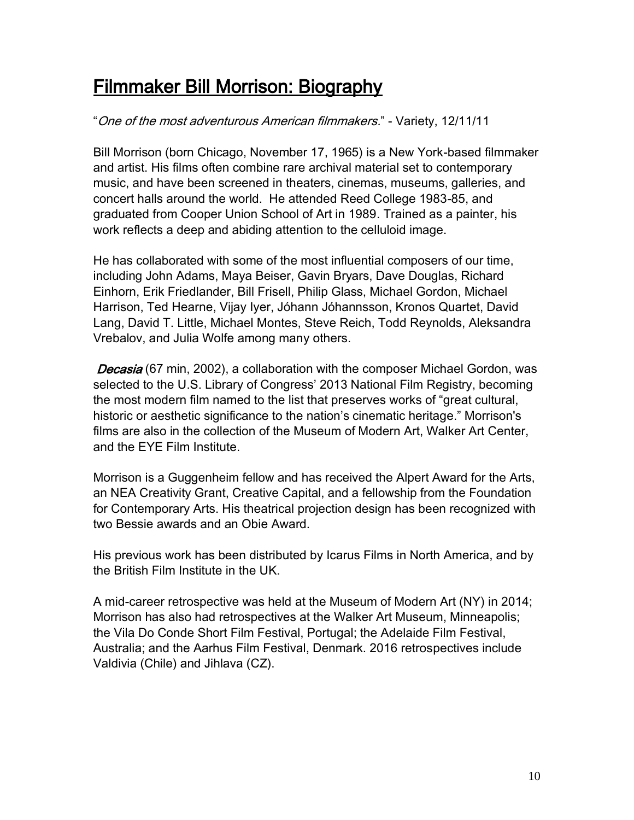## Filmmaker Bill Morrison: Biography

## "One of the most adventurous American filmmakers." - Variety, 12/11/11

Bill Morrison (born Chicago, November 17, 1965) is a New York-based filmmaker and artist. His films often combine rare archival material set to contemporary music, and have been screened in theaters, cinemas, museums, galleries, and concert halls around the world. He attended Reed College 1983-85, and graduated from Cooper Union School of Art in 1989. Trained as a painter, his work reflects a deep and abiding attention to the celluloid image.

He has collaborated with some of the most influential composers of our time, including John Adams, Maya Beiser, Gavin Bryars, Dave Douglas, Richard Einhorn, Erik Friedlander, Bill Frisell, Philip Glass, Michael Gordon, Michael Harrison, Ted Hearne, Vijay Iyer, Jóhann Jóhannsson, Kronos Quartet, David Lang, David T. Little, Michael Montes, Steve Reich, Todd Reynolds, Aleksandra Vrebalov, and Julia Wolfe among many others.

Decasia (67 min, 2002), a collaboration with the composer Michael Gordon, was selected to the U.S. Library of Congress' 2013 National Film Registry, becoming the most modern film named to the list that preserves works of "great cultural, historic or aesthetic significance to the nation's cinematic heritage." Morrison's films are also in the collection of the Museum of Modern Art, Walker Art Center, and the EYE Film Institute.

Morrison is a Guggenheim fellow and has received the Alpert Award for the Arts, an NEA Creativity Grant, Creative Capital, and a fellowship from the Foundation for Contemporary Arts. His theatrical projection design has been recognized with two Bessie awards and an Obie Award.

His previous work has been distributed by Icarus Films in North America, and by the British Film Institute in the UK.

A mid-career retrospective was held at the Museum of Modern Art (NY) in 2014; Morrison has also had retrospectives at the Walker Art Museum, Minneapolis; the Vila Do Conde Short Film Festival, Portugal; the Adelaide Film Festival, Australia; and the Aarhus Film Festival, Denmark. 2016 retrospectives include Valdivia (Chile) and Jihlava (CZ).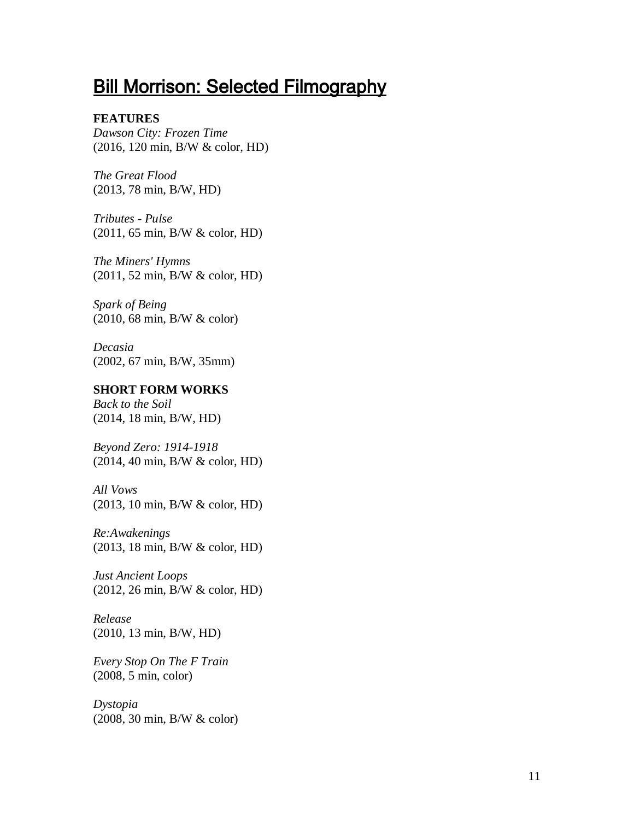## **Bill Morrison: Selected Filmography**

#### **FEATURES**

*Dawson City: Frozen Time* (2016, 120 min, B/W & color, HD)

*The Great Flood* (2013, 78 min, B/W, HD)

*Tributes - Pulse* (2011, 65 min, B/W & color, HD)

*The Miners' Hymns* (2011, 52 min, B/W & color, HD)

*Spark of Being* (2010, 68 min, B/W & color)

*Decasia* (2002, 67 min, B/W, 35mm)

#### **SHORT FORM WORKS**

*Back to the Soil* (2014, 18 min, B/W, HD)

*Beyond Zero: 1914-1918* (2014, 40 min, B/W & color, HD)

*All Vows* (2013, 10 min, B/W & color, HD)

*Re:Awakenings* (2013, 18 min, B/W & color, HD)

*Just Ancient Loops* (2012, 26 min, B/W & color, HD)

*Release* (2010, 13 min, B/W, HD)

*Every Stop On The F Train* (2008, 5 min, color)

*Dystopia* (2008, 30 min, B/W & color)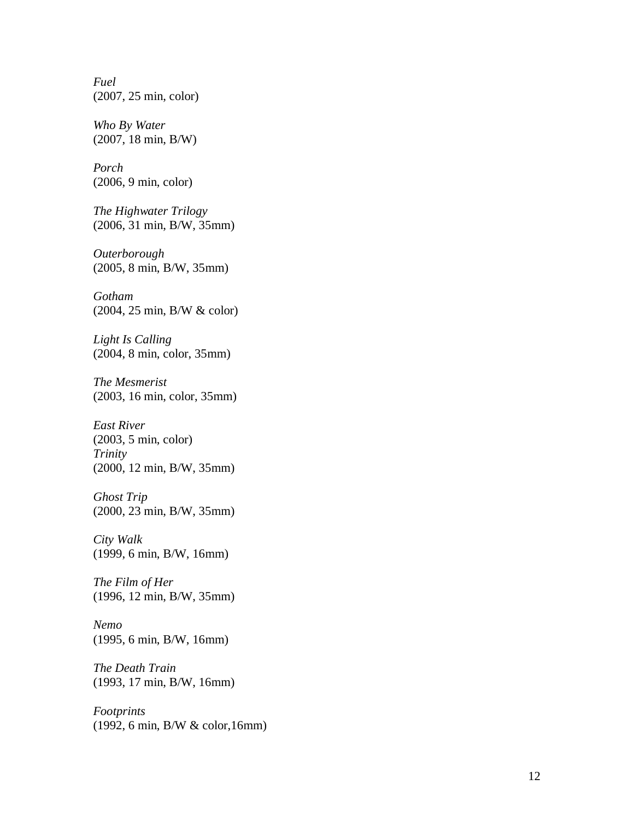*Fuel* (2007, 25 min, color)

*Who By Water* (2007, 18 min, B/W)

*Porch* (2006, 9 min, color)

*The Highwater Trilogy* (2006, 31 min, B/W, 35mm)

*Outerborough* (2005, 8 min, B/W, 35mm)

*Gotham* (2004, 25 min, B/W & color)

*Light Is Calling* (2004, 8 min, color, 35mm)

*The Mesmerist* (2003, 16 min, color, 35mm)

*East River* (2003, 5 min, color) *Trinity* (2000, 12 min, B/W, 35mm)

*Ghost Trip* (2000, 23 min, B/W, 35mm)

*City Walk* (1999, 6 min, B/W, 16mm)

*The Film of Her* (1996, 12 min, B/W, 35mm)

*Nemo* (1995, 6 min, B/W, 16mm)

*The Death Train* (1993, 17 min, B/W, 16mm)

*Footprints* (1992, 6 min, B/W & color,16mm)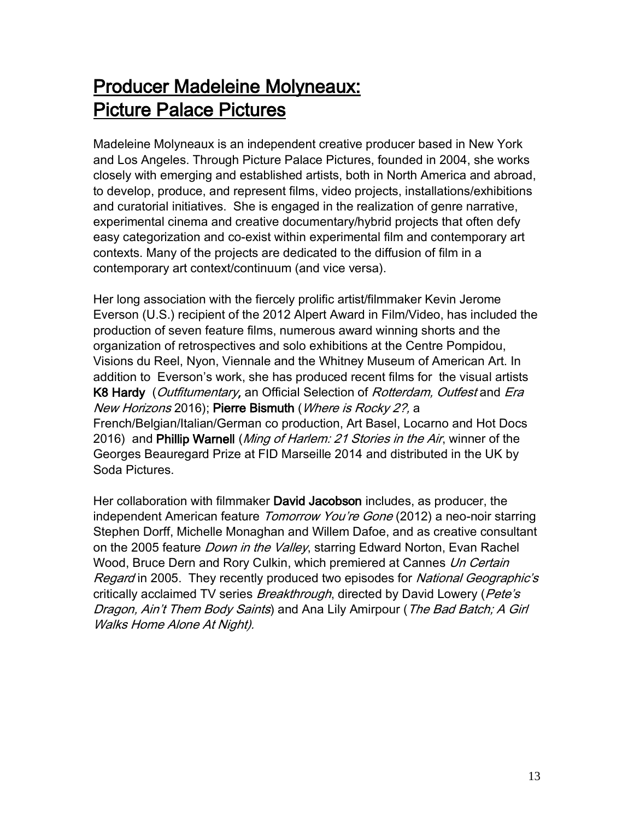## Producer Madeleine Molyneaux: Picture Palace Pictures

Madeleine Molyneaux is an independent creative producer based in New York and Los Angeles. Through Picture Palace Pictures, founded in 2004, she works closely with emerging and established artists, both in North America and abroad, to develop, produce, and represent films, video projects, installations/exhibitions and curatorial initiatives. She is engaged in the realization of genre narrative, experimental cinema and creative documentary/hybrid projects that often defy easy categorization and co-exist within experimental film and contemporary art contexts. Many of the projects are dedicated to the diffusion of film in a contemporary art context/continuum (and vice versa).

Her long association with the fiercely prolific artist/filmmaker Kevin Jerome Everson (U.S.) recipient of the 2012 Alpert Award in Film/Video, has included the production of seven feature films, numerous award winning shorts and the organization of retrospectives and solo exhibitions at the Centre Pompidou, Visions du Reel, Nyon, Viennale and the Whitney Museum of American Art. In addition to Everson's work, she has produced recent films for the visual artists K8 Hardy (Outfitumentary, an Official Selection of Rotterdam, Outfest and Era New Horizons 2016); Pierre Bismuth (Where is Rocky 2?, a French/Belgian/Italian/German co production, Art Basel, Locarno and Hot Docs 2016) and Phillip Warnell (Ming of Harlem: 21 Stories in the Air, winner of the Georges Beauregard Prize at FID Marseille 2014 and distributed in the UK by Soda Pictures.

Her collaboration with filmmaker David Jacobson includes, as producer, the independent American feature *Tomorrow You're Gone* (2012) a neo-noir starring Stephen Dorff, Michelle Monaghan and Willem Dafoe, and as creative consultant on the 2005 feature *Down in the Valley*, starring Edward Norton, Evan Rachel Wood, Bruce Dern and Rory Culkin, which premiered at Cannes Un Certain Regard in 2005. They recently produced two episodes for National Geographic's critically acclaimed TV series *Breakthrough*, directed by David Lowery (*Pete's* Dragon, Ain't Them Body Saints) and Ana Lily Amirpour (The Bad Batch; A Girl Walks Home Alone At Night).